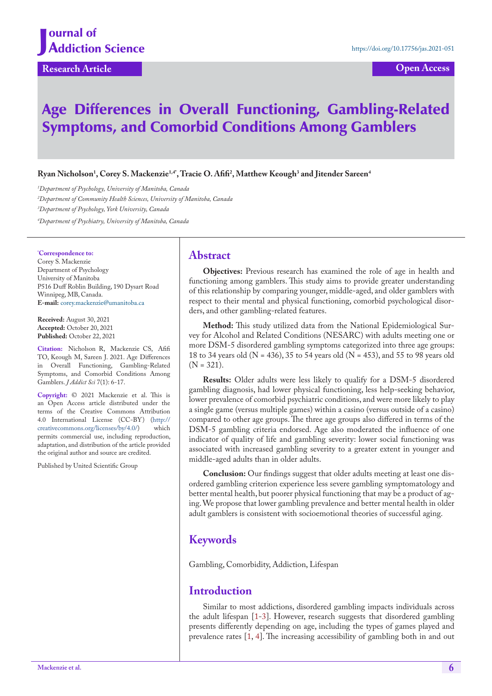# Age Differences in Overall Functioning, Gambling-Related Symptoms, and Comorbid Conditions Among Gamblers

 $\bm{\mathrm{R}}$ yan Nicholson<sup>1</sup>, Corey S. Mackenzie<sup>1,4</sup>, Tracie O. Afifi<sup>2</sup>, Matthew Keough<sup>3</sup> and Jitender Sareen<sup>4</sup>

 *Department of Psychology, University of Manitoba, Canada Department of Community Health Sciences, University of Manitoba, Canada Department of Psychology, York University, Canada Department of Psychiatry, University of Manitoba, Canada*

### **\* Correspondence to:**

Corey S. Mackenzie Department of Psychology University of Manitoba P516 Duff Roblin Building, 190 Dysart Road Winnipeg, MB, Canada. **E-mail:** corey.mackenzie@umanitoba.ca

**Received:** August 30, 2021 **Accepted:** October 20, 2021 **Published:** October 22, 2021

**Citation:** Nicholson R, Mackenzie CS, Afifi TO, Keough M, Sareen J. 2021. Age Differences in Overall Functioning, Gambling-Related Symptoms, and Comorbid Conditions Among Gamblers. *J Addict Sci* 7(1): 6-17.

**Copyright:** © 2021 Mackenzie et al. This is an Open Access article distributed under the terms of the Creative Commons Attribution 4.0 International License (CC-BY) (http://<br>creativecommons.org/licenses/by/4.0/) which creativecommons.org/licenses/by/4.0/) permits commercial use, including reproduction, adaptation, and distribution of the article provided the original author and source are credited.

Published by United Scientific Group

## **Abstract**

**Objectives:** Previous research has examined the role of age in health and functioning among gamblers. This study aims to provide greater understanding of this relationship by comparing younger, middle-aged, and older gamblers with respect to their mental and physical functioning, comorbid psychological disorders, and other gambling-related features.

**Method:** This study utilized data from the National Epidemiological Survey for Alcohol and Related Conditions (NESARC) with adults meeting one or more DSM-5 disordered gambling symptoms categorized into three age groups: 18 to 34 years old (N = 436), 35 to 54 years old (N = 453), and 55 to 98 years old  $(N = 321)$ .

**Results:** Older adults were less likely to qualify for a DSM-5 disordered gambling diagnosis, had lower physical functioning, less help-seeking behavior, lower prevalence of comorbid psychiatric conditions, and were more likely to play a single game (versus multiple games) within a casino (versus outside of a casino) compared to other age groups. The three age groups also differed in terms of the DSM-5 gambling criteria endorsed. Age also moderated the influence of one indicator of quality of life and gambling severity: lower social functioning was associated with increased gambling severity to a greater extent in younger and middle-aged adults than in older adults.

**Conclusion:** Our findings suggest that older adults meeting at least one disordered gambling criterion experience less severe gambling symptomatology and better mental health, but poorer physical functioning that may be a product of aging. We propose that lower gambling prevalence and better mental health in older adult gamblers is consistent with socioemotional theories of successful aging.

## **Keywords**

Gambling, Comorbidity, Addiction, Lifespan

## **Introduction**

Similar to most addictions, disordered gambling impacts individuals across the adult lifespan [\[1](#page-9-0)-3]. However, research suggests that disordered gambling presents differently depending on age, including the types of games played and prevalence rates [\[1](#page-9-0), 4]. The increasing accessibility of gambling both in and out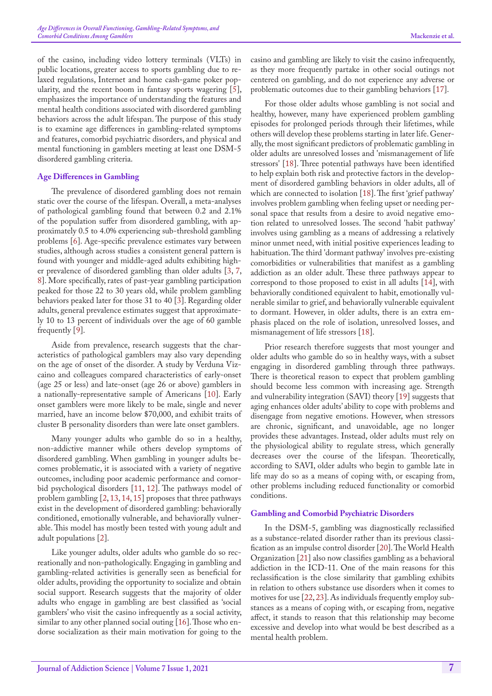of the casino, including video lottery terminals (VLTs) in public locations, greater access to sports gambling due to relaxed regulations, Internet and home cash-game poker popularity, and the recent boom in fantasy sports wagering [[5\]](#page-9-1), emphasizes the importance of understanding the features and mental health conditions associated with disordered gambling behaviors across the adult lifespan. The purpose of this study is to examine age differences in gambling-related symptoms and features, comorbid psychiatric disorders, and physical and mental functioning in gamblers meeting at least one DSM-5 disordered gambling criteria.

### **Age Differences in Gambling**

The prevalence of disordered gambling does not remain static over the course of the lifespan. Overall, a meta-analyses of pathological gambling found that between 0.2 and 2.1% of the population suffer from disordered gambling, with approximately 0.5 to 4.0% experiencing sub-threshold gambling problems [[6\]](#page-9-2). Age-specific prevalence estimates vary between studies, although across studies a consistent general pattern is found with younger and middle-aged adults exhibiting higher prevalence of disordered gambling than older adults [3, [7](#page-9-3), [8](#page-9-4)]. More specifically, rates of past-year gambling participation peaked for those 22 to 30 years old, while problem gambling behaviors peaked later for those 31 to 40 [3]. Regarding older adults, general prevalence estimates suggest that approximately 10 to 13 percent of individuals over the age of 60 gamble frequently [\[9](#page-9-5)].

Aside from prevalence, research suggests that the characteristics of pathological gamblers may also vary depending on the age of onset of the disorder. A study by Verduna Vizcaino and colleagues compared characteristics of early-onset (age 25 or less) and late-onset (age 26 or above) gamblers in a nationally-representative sample of Americans [10]. Early onset gamblers were more likely to be male, single and never married, have an income below \$70,000, and exhibit traits of cluster B personality disorders than were late onset gamblers.

Many younger adults who gamble do so in a healthy, non-addictive manner while others develop symptoms of disordered gambling. When gambling in younger adults becomes problematic, it is associated with a variety of negative outcomes, including poor academic performance and comorbid psychological disorders [\[11](#page-9-6), [12\]](#page-9-7). The pathways model of problem gambling [\[2](#page-9-8), 13, [14](#page-9-9), [15](#page-9-10)] proposes that three pathways exist in the development of disordered gambling: behaviorally conditioned, emotionally vulnerable, and behaviorally vulnerable. This model has mostly been tested with young adult and adult populations [\[2](#page-9-8)].

Like younger adults, older adults who gamble do so recreationally and non-pathologically. Engaging in gambling and gambling-related activities is generally seen as beneficial for older adults, providing the opportunity to socialize and obtain social support. Research suggests that the majority of older adults who engage in gambling are best classified as 'social gamblers' who visit the casino infrequently as a social activity, similar to any other planned social outing [16]. Those who endorse socialization as their main motivation for going to the casino and gambling are likely to visit the casino infrequently, as they more frequently partake in other social outings not centered on gambling, and do not experience any adverse or problematic outcomes due to their gambling behaviors [[17\]](#page-9-11).

For those older adults whose gambling is not social and healthy, however, many have experienced problem gambling episodes for prolonged periods through their lifetimes, while others will develop these problems starting in later life. Generally, the most significant predictors of problematic gambling in older adults are unresolved losses and 'mismanagement of life stressors' [\[18](#page-9-12)]. Three potential pathways have been identified to help explain both risk and protective factors in the development of disordered gambling behaviors in older adults, all of which are connected to isolation [[18\]](#page-9-12). The first 'grief pathway' involves problem gambling when feeling upset or needing personal space that results from a desire to avoid negative emotion related to unresolved losses. The second 'habit pathway' involves using gambling as a means of addressing a relatively minor unmet need, with initial positive experiences leading to habituation. The third 'dormant pathway' involves pre-existing comorbidities or vulnerabilities that manifest as a gambling addiction as an older adult. These three pathways appear to correspond to those proposed to exist in all adults [\[14](#page-9-9)], with behaviorally conditioned equivalent to habit, emotionally vulnerable similar to grief, and behaviorally vulnerable equivalent to dormant. However, in older adults, there is an extra emphasis placed on the role of isolation, unresolved losses, and mismanagement of life stressors [\[18](#page-9-12)].

Prior research therefore suggests that most younger and older adults who gamble do so in healthy ways, with a subset engaging in disordered gambling through three pathways. There is theoretical reason to expect that problem gambling should become less common with increasing age. Strength and vulnerability integration (SAVI) theory [[19\]](#page-9-13) suggests that aging enhances older adults' ability to cope with problems and disengage from negative emotions. However, when stressors are chronic, significant, and unavoidable, age no longer provides these advantages. Instead, older adults must rely on the physiological ability to regulate stress, which generally decreases over the course of the lifespan. Theoretically, according to SAVI, older adults who begin to gamble late in life may do so as a means of coping with, or escaping from, other problems including reduced functionality or comorbid conditions.

#### **Gambling and Comorbid Psychiatric Disorders**

In the DSM-5, gambling was diagnostically reclassified as a substance-related disorder rather than its previous classification as an impulse control disorder [\[20](#page-9-14)]. The World Health Organization [21] also now classifies gambling as a behavioral addiction in the ICD-11. One of the main reasons for this reclassification is the close similarity that gambling exhibits in relation to others substance use disorders when it comes to motives for use [\[22](#page-9-15), [23](#page-9-16)]. As individuals frequently employ substances as a means of coping with, or escaping from, negative affect, it stands to reason that this relationship may become excessive and develop into what would be best described as a mental health problem.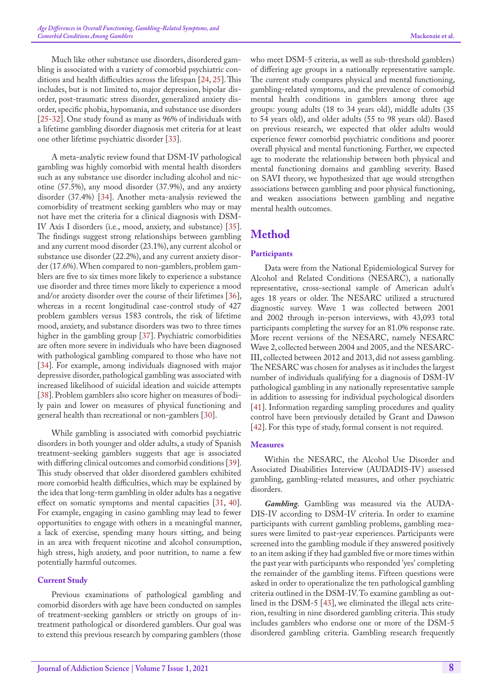Much like other substance use disorders, disordered gambling is associated with a variety of comorbid psychiatric conditions and health difficulties across the lifespan [\[24](#page-9-17), [25](#page-9-18)]. This includes, but is not limited to, major depression, bipolar disorder, post-traumatic stress disorder, generalized anxiety disorder, specific phobia, hypomania, and substance use disorders [[25-](#page-9-18)[32\]](#page-10-0). One study found as many as 96% of individuals with a lifetime gambling disorder diagnosis met criteria for at least one other lifetime psychiatric disorder [[33\]](#page-10-1).

A meta-analytic review found that DSM-IV pathological gambling was highly comorbid with mental health disorders such as any substance use disorder including alcohol and nicotine (57.5%), any mood disorder (37.9%), and any anxiety disorder (37.4%) [\[34](#page-10-2)]. Another meta-analysis reviewed the comorbidity of treatment seeking gamblers who may or may not have met the criteria for a clinical diagnosis with DSM-IV Axis I disorders (i.e., mood, anxiety, and substance) [[35\]](#page-10-3). The findings suggest strong relationships between gambling and any current mood disorder (23.1%), any current alcohol or substance use disorder (22.2%), and any current anxiety disorder (17.6%). When compared to non-gamblers, problem gamblers are five to six times more likely to experience a substance use disorder and three times more likely to experience a mood and/or anxiety disorder over the course of their lifetimes [[36\]](#page-10-4), whereas in a recent longitudinal case-control study of 427 problem gamblers versus 1583 controls, the risk of lifetime mood, anxiety, and substance disorders was two to three times higher in the gambling group [\[37](#page-10-5)]. Psychiatric comorbidities are often more severe in individuals who have been diagnosed with pathological gambling compared to those who have not [[34\]](#page-10-2). For example, among individuals diagnosed with major depressive disorder, pathological gambling was associated with increased likelihood of suicidal ideation and suicide attempts [[38\]](#page-10-6). Problem gamblers also score higher on measures of bodily pain and lower on measures of physical functioning and general health than recreational or non-gamblers [[30\]](#page-9-19).

While gambling is associated with comorbid psychiatric disorders in both younger and older adults, a study of Spanish treatment-seeking gamblers suggests that age is associated with differing clinical outcomes and comorbid conditions [[39\]](#page-10-7). This study observed that older disordered gamblers exhibited more comorbid health difficulties, which may be explained by the idea that long-term gambling in older adults has a negative effect on somatic symptoms and mental capacities [[31,](#page-10-8) [40\]](#page-10-9). For example, engaging in casino gambling may lead to fewer opportunities to engage with others in a meaningful manner, a lack of exercise, spending many hours sitting, and being in an area with frequent nicotine and alcohol consumption, high stress, high anxiety, and poor nutrition, to name a few potentially harmful outcomes.

#### **Current Study**

Previous examinations of pathological gambling and comorbid disorders with age have been conducted on samples of treatment-seeking gamblers or strictly on groups of intreatment pathological or disordered gamblers. Our goal was to extend this previous research by comparing gamblers (those

who meet DSM-5 criteria, as well as sub-threshold gamblers) of differing age groups in a nationally representative sample. The current study compares physical and mental functioning, gambling-related symptoms, and the prevalence of comorbid mental health conditions in gamblers among three age groups: young adults (18 to 34 years old), middle adults (35 to 54 years old), and older adults (55 to 98 years old). Based on previous research, we expected that older adults would experience fewer comorbid psychiatric conditions and poorer overall physical and mental functioning. Further, we expected age to moderate the relationship between both physical and mental functioning domains and gambling severity. Based on SAVI theory, we hypothesized that age would strengthen associations between gambling and poor physical functioning, and weaken associations between gambling and negative mental health outcomes.

## **Method**

#### **Participants**

Data were from the National Epidemiological Survey for Alcohol and Related Conditions (NESARC), a nationally representative, cross-sectional sample of American adult's ages 18 years or older. The NESARC utilized a structured diagnostic survey. Wave 1 was collected between 2001 and 2002 through in-person interviews, with 43,093 total participants completing the survey for an 81.0% response rate. More recent versions of the NESARC, namely NESARC Wave 2, collected between 2004 and 2005, and the NESARC-III, collected between 2012 and 2013, did not assess gambling. The NESARC was chosen for analyses as it includes the largest number of individuals qualifying for a diagnosis of DSM-IV pathological gambling in any nationally representative sample in addition to assessing for individual psychological disorders [[41\]](#page-10-10). Information regarding sampling procedures and quality control have been previously detailed by Grant and Dawson [[42\]](#page-10-11). For this type of study, formal consent is not required.

#### **Measures**

Within the NESARC, the Alcohol Use Disorder and Associated Disabilities Interview (AUDADIS-IV) assessed gambling, gambling-related measures, and other psychiatric disorders.

*Gambling.* Gambling was measured via the AUDA-DIS-IV according to DSM-IV criteria. In order to examine participants with current gambling problems, gambling measures were limited to past-year experiences. Participants were screened into the gambling module if they answered positively to an item asking if they had gambled five or more times within the past year with participants who responded 'yes' completing the remainder of the gambling items. Fifteen questions were asked in order to operationalize the ten pathological gambling criteria outlined in the DSM-IV. To examine gambling as outlined in the DSM-5 [\[43](#page-10-12)], we eliminated the illegal acts criterion, resulting in nine disordered gambling criteria. This study includes gamblers who endorse one or more of the DSM-5 disordered gambling criteria. Gambling research frequently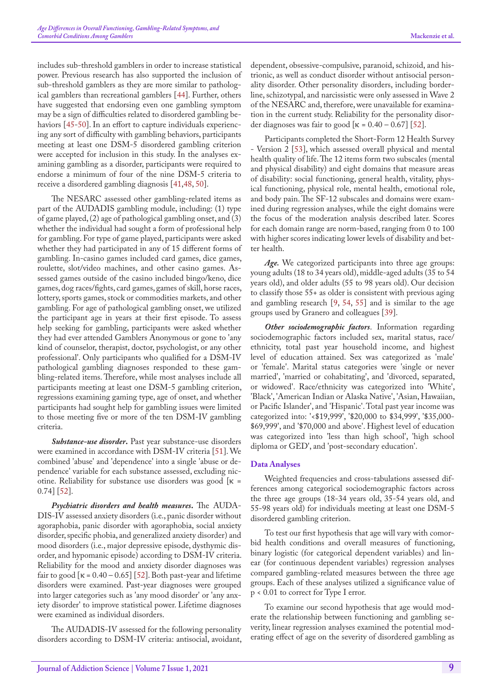includes sub-threshold gamblers in order to increase statistical power. Previous research has also supported the inclusion of sub-threshold gamblers as they are more similar to pathological gamblers than recreational gamblers [\[44](#page-10-13)]. Further, others have suggested that endorsing even one gambling symptom may be a sign of difficulties related to disordered gambling be-haviors [\[45](#page-10-14)[-50](#page-10-15)]. In an effort to capture individuals experiencing any sort of difficulty with gambling behaviors, participants meeting at least one DSM-5 disordered gambling criterion were accepted for inclusion in this study. In the analyses examining gambling as a disorder, participants were required to endorse a minimum of four of the nine DSM-5 criteria to receive a disordered gambling diagnosis [[41,](#page-10-10)[48](#page-10-16), [50\]](#page-10-15).

The NESARC assessed other gambling-related items as part of the AUDADIS gambling module, including: (1) type of game played, (2) age of pathological gambling onset, and (3) whether the individual had sought a form of professional help for gambling. For type of game played, participants were asked whether they had participated in any of 15 different forms of gambling. In-casino games included card games, dice games, roulette, slot/video machines, and other casino games. Assessed games outside of the casino included bingo/keno, dice games, dog races/fights, card games, games of skill, horse races, lottery, sports games, stock or commodities markets, and other gambling. For age of pathological gambling onset, we utilized the participant age in years at their first episode. To assess help seeking for gambling, participants were asked whether they had ever attended Gamblers Anonymous or gone to 'any kind of counselor, therapist, doctor, psychologist, or any other professional'. Only participants who qualified for a DSM-IV pathological gambling diagnoses responded to these gambling-related items. Therefore, while most analyses include all participants meeting at least one DSM-5 gambling criterion, regressions examining gaming type, age of onset, and whether participants had sought help for gambling issues were limited to those meeting five or more of the ten DSM-IV gambling criteria.

*Substance-use disorder***.** Past year substance-use disorders were examined in accordance with DSM-IV criteria [\[51](#page-10-17)]. We combined 'abuse' and 'dependence' into a single 'abuse or dependence' variable for each substance assessed, excluding nicotine. Reliability for substance use disorders was good  $\kappa$  = 0.74] [[52\]](#page-10-18).

*Psychiatric disorders and health measures***.** The AUDA-DIS-IV assessed anxiety disorders (i.e., panic disorder without agoraphobia, panic disorder with agoraphobia, social anxiety disorder, specific phobia, and generalized anxiety disorder) and mood disorders (i.e., major depressive episode, dysthymic disorder, and hypomanic episode) according to DSM-IV criteria. Reliability for the mood and anxiety disorder diagnoses was fair to good  $\kappa = 0.40 - 0.65$  [[52\]](#page-10-18). Both past-year and lifetime disorders were examined. Past-year diagnoses were grouped into larger categories such as 'any mood disorder' or 'any anxiety disorder' to improve statistical power. Lifetime diagnoses were examined as individual disorders.

The AUDADIS-IV assessed for the following personality disorders according to DSM-IV criteria: antisocial, avoidant, dependent, obsessive-compulsive, paranoid, schizoid, and histrionic, as well as conduct disorder without antisocial personality disorder. Other personality disorders, including borderline, schizotypal, and narcissistic were only assessed in Wave 2 of the NESARC and, therefore, were unavailable for examination in the current study. Reliability for the personality disorder diagnoses was fair to good  $\lceil \kappa = 0.40 - 0.67 \rceil$  [\[52](#page-10-18)].

Participants completed the Short-Form 12 Health Survey - Version 2 [53], which assessed overall physical and mental health quality of life. The 12 items form two subscales (mental and physical disability) and eight domains that measure areas of disability: social functioning, general health, vitality, physical functioning, physical role, mental health, emotional role, and body pain. The SF-12 subscales and domains were examined during regression analyses, while the eight domains were the focus of the moderation analysis described later. Scores for each domain range are norm-based, ranging from 0 to 100 with higher scores indicating lower levels of disability and better health.

*Age.* We categorized participants into three age groups: young adults (18 to 34 years old), middle-aged adults (35 to 54 years old), and older adults (55 to 98 years old). Our decision to classify those 55+ as older is consistent with previous aging and gambling research [[9,](#page-9-5) [54](#page-10-19), [55](#page-10-20)] and is similar to the age groups used by Granero and colleagues [\[39](#page-10-7)].

*Other sociodemographic factors*. Information regarding sociodemographic factors included sex, marital status, race/ ethnicity, total past year household income, and highest level of education attained. Sex was categorized as 'male' or 'female'. Marital status categories were 'single or never married', 'married or cohabitating', and 'divorced, separated, or widowed'. Race/ethnicity was categorized into 'White', 'Black', 'American Indian or Alaska Native', 'Asian, Hawaiian, or Pacific Islander', and 'Hispanic'. Total past year income was categorized into: '<\$19,999', '\$20,000 to \$34,999', '\$35,000- \$69,999', and '\$70,000 and above'. Highest level of education was categorized into 'less than high school', 'high school diploma or GED', and 'post-secondary education'.

#### **Data Analyses**

Weighted frequencies and cross-tabulations assessed differences among categorical sociodemographic factors across the three age groups (18-34 years old, 35-54 years old, and 55-98 years old) for individuals meeting at least one DSM-5 disordered gambling criterion.

To test our first hypothesis that age will vary with comorbid health conditions and overall measures of functioning, binary logistic (for categorical dependent variables) and linear (for continuous dependent variables) regression analyses compared gambling-related measures between the three age groups. Each of these analyses utilized a significance value of p < 0.01 to correct for Type I error.

To examine our second hypothesis that age would moderate the relationship between functioning and gambling severity, linear regression analyses examined the potential moderating effect of age on the severity of disordered gambling as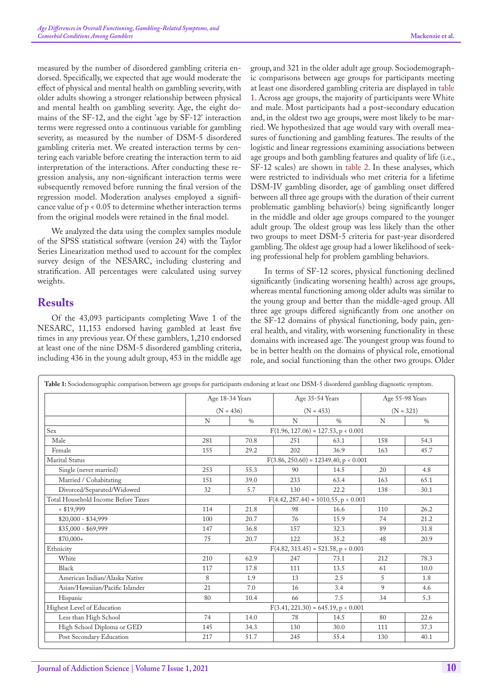measured by the number of disordered gambling criteria endorsed. Specifically, we expected that age would moderate the effect of physical and mental health on gambling severity, with older adults showing a stronger relationship between physical and mental health on gambling severity. Age, the eight domains of the SF-12, and the eight 'age by SF-12' interaction terms were regressed onto a continuous variable for gambling severity, as measured by the number of DSM-5 disordered gambling criteria met. We created interaction terms by centering each variable before creating the interaction term to aid interpretation of the interactions. After conducting these regression analysis, any non-significant interaction terms were subsequently removed before running the final version of the regression model. Moderation analyses employed a significance value of p < 0.05 to determine whether interaction terms from the original models were retained in the final model.

We analyzed the data using the complex samples module of the SPSS statistical software (version 24) with the Taylor Series Linearization method used to account for the complex survey design of the NESARC, including clustering and stratification. All percentages were calculated using survey weights.

## **Results**

Of the 43,093 participants completing Wave 1 of the NESARC, 11,153 endorsed having gambled at least five times in any previous year. Of these gamblers, 1,210 endorsed at least one of the nine DSM-5 disordered gambling criteria, including 436 in the young adult group, 453 in the middle age

group, and 321 in the older adult age group. Sociodemographic comparisons between age groups for participants meeting at least one disordered gambling criteria are displayed in [table](#page-4-0)  [1](#page-4-0). Across age groups, the majority of participants were White and male. Most participants had a post-secondary education and, in the oldest two age groups, were most likely to be married. We hypothesized that age would vary with overall measures of functioning and gambling features. The results of the logistic and linear regressions examining associations between age groups and both gambling features and quality of life (i.e., SF-12 scales) are shown in [table](#page-5-0) 2. In these analyses, which were restricted to individuals who met criteria for a lifetime DSM-IV gambling disorder, age of gambling onset differed between all three age groups with the duration of their current problematic gambling behavior(s) being significantly longer in the middle and older age groups compared to the younger adult group. The oldest group was less likely than the other two groups to meet DSM-5 criteria for past-year disordered gambling. The oldest age group had a lower likelihood of seeking professional help for problem gambling behaviors.

In terms of SF-12 scores, physical functioning declined significantly (indicating worsening health) across age groups, whereas mental functioning among older adults was similar to the young group and better than the middle-aged group. All three age groups differed significantly from one another on the SF-12 domains of physical functioning, body pain, general health, and vitality, with worsening functionality in these domains with increased age. The youngest group was found to be in better health on the domains of physical role, emotional role, and social functioning than the other two groups. Older

<span id="page-4-0"></span>

|                                     |                                         | Age 18-34 Years |             | Age 35-54 Years |             | Age 55-98 Years |
|-------------------------------------|-----------------------------------------|-----------------|-------------|-----------------|-------------|-----------------|
|                                     | $(N = 436)$                             |                 | $(N = 453)$ |                 | $(N = 321)$ |                 |
|                                     | N                                       | $\frac{0}{0}$   | N           | $\frac{0}{0}$   | N           | $\%$            |
| Sex                                 | $F(1.96, 127.06) = 127.53, p < 0.001$   |                 |             |                 |             |                 |
| Male                                | 281                                     | 70.8            | 251         | 63.1            | 158         | 54.3            |
| Female                              | 155                                     | 29.2            | 202         | 36.9            | 163         | 45.7            |
| Marital Status                      | $F(3.86, 250.60) = 12349.40, p < 0.001$ |                 |             |                 |             |                 |
| Single (never married)              | 253                                     | 55.3            | 90          | 14.5            | 20          | 4.8             |
| Married / Cohabitating              | 151                                     | 39.0            | 233         | 63.4            | 163         | 65.1            |
| Divorced/Separated/Widowed          | 32                                      | 5.7             | 130         | 22.2            | 138         | 30.1            |
| Total Household Income Before Taxes | $F(4.42, 287.44) = 1010.55$ , p < 0.001 |                 |             |                 |             |                 |
| $<$ \$19,999                        | 114                                     | 21.8            | 98          | 16.6            | 110         | 26.2            |
| $$20,000 - $34,999$                 | 100                                     | 20.7            | 76          | 15.9            | 74          | 21.2            |
| $$35,000 - $69,999$                 | 147                                     | 36.8            | 157         | 32.3            | 89          | 31.8            |
| $$70,000+$                          | 75                                      | 20.7            | 122         | 35.2            | 48          | 20.9            |
| Ethnicity                           | $F(4.82, 313.45) = 521.58, p < 0.001$   |                 |             |                 |             |                 |
| White                               | 210                                     | 62.9            | 247         | 73.1            | 212         | 78.3            |
| Black                               | 117                                     | 17.8            | 111         | 13.5            | 61          | 10.0            |
| American Indian/Alaska Native       | 8                                       | 1.9             | 13          | 2.5             | 5           | 1.8             |
| Asian/Hawaiian/Pacific Islander     | 21                                      | 7.0             | 16          | 3.4             | 9           | 4.6             |
| Hispanic                            | 80                                      | 10.4            | 66          | 7.5             | 34          | 5.3             |
| Highest Level of Education          | $F(3.41, 221.30) = 645.19, p < 0.001$   |                 |             |                 |             |                 |
| Less than High School               | 74                                      | 14.0            | 78          | 14.5            | 80          | 22.6            |
| High School Diploma or GED          | 145                                     | 34.3            | 130         | 30.0            | 111         | 37.3            |
| Post Secondary Education            | 217                                     | 51.7            | 245         | 55.4            | 130         | 40.1            |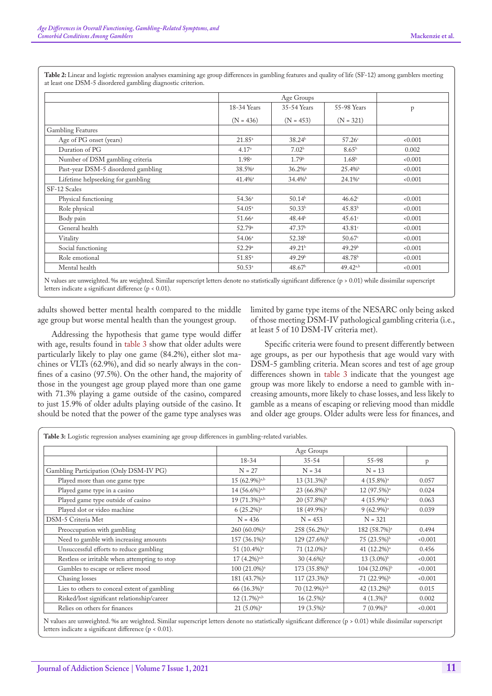|                                     |                    | Age Groups            |                      |       |
|-------------------------------------|--------------------|-----------------------|----------------------|-------|
|                                     | 18-34 Years        | 35-54 Years           | 55-98 Years          | p     |
|                                     | $(N = 436)$        | $(N = 453)$           | $(N = 321)$          |       |
| <b>Gambling Features</b>            |                    |                       |                      |       |
| Age of PG onset (years)             | $21.85^{\circ}$    | 38.24 <sup>b</sup>    | 57.26c               | 0.001 |
| Duration of PG                      | 4.17 <sup>a</sup>  | 7.02 <sup>b</sup>     | $8.65^{\rm b}$       | 0.002 |
| Number of DSM gambling criteria     | 1.98 <sup>a</sup>  | 1.79 <sup>b</sup>     | 1.68 <sup>b</sup>    | 0.001 |
| Past-year DSM-5 disordered gambling | 38.5% <sup>a</sup> | $36.2\%$ <sup>a</sup> | 25.4%                | 0.001 |
| Lifetime helpseeking for gambling   | 41.4% <sup>a</sup> | $34.4\%$              | 24.1% <sup>a</sup>   | 0.001 |
| SF-12 Scales                        |                    |                       |                      |       |
| Physical functioning                | 54.36 <sup>a</sup> | 50.14 <sup>b</sup>    | 46.62c               | 0.001 |
| Role physical                       | $54.05^{\circ}$    | 50.33 <sup>b</sup>    | 45.83 <sup>b</sup>   | 0.001 |
| Body pain                           | $51.66^{\circ}$    | 48.44 <sup>b</sup>    | $45.61$ <sup>c</sup> | 0.001 |
| General health                      | 52.79a             | 47.37 <sup>b</sup>    | $43.81$ <sup>c</sup> | 0.001 |
| Vitality                            | 54.06 <sup>a</sup> | 52.38 <sup>b</sup>    | 50.67                | 0.001 |
| Social functioning                  | 52.29a             | 49.21 <sup>b</sup>    | 49.29 <sup>b</sup>   | 0.001 |
| Role emotional                      | $51.85^{\circ}$    | 49.29 <sup>b</sup>    | 48.78 <sup>b</sup>   | 0.001 |
| Mental health                       | $50.53^a$          | 48.67 <sup>b</sup>    | $49.42^{a,b}$        | 0.001 |

<span id="page-5-0"></span>**Table 2:** Linear and logistic regression analyses examining age group differences in gambling features and quality of life (SF-12) among gamblers meeting at least one DSM-5 disordered gambling diagnostic criterion.

N values are unweighted. %s are weighted. Similar superscript letters denote no statistically significant difference (p > 0.01) while dissimilar superscript letters indicate a significant difference (p < 0.01).

adults showed better mental health compared to the middle age group but worse mental health than the youngest group.

Addressing the hypothesis that game type would differ with age, results found in [table 3](#page-5-1) show that older adults were particularly likely to play one game (84.2%), either slot machines or VLTs (62.9%), and did so nearly always in the confines of a casino (97.5%). On the other hand, the majority of those in the youngest age group played more than one game with 71.3% playing a game outside of the casino, compared to just 15.9% of older adults playing outside of the casino. It should be noted that the power of the game type analyses was

limited by game type items of the NESARC only being asked of those meeting DSM-IV pathological gambling criteria (i.e., at least 5 of 10 DSM-IV criteria met).

Specific criteria were found to present differently between age groups, as per our hypothesis that age would vary with DSM-5 gambling criteria. Mean scores and test of age group differences shown in [table 3](#page-5-1) indicate that the youngest age group was more likely to endorse a need to gamble with increasing amounts, more likely to chase losses, and less likely to gamble as a means of escaping or relieving mood than middle and older age groups. Older adults were less for finances, and

<span id="page-5-1"></span>

|                                               |                             | Age Groups                |                           |       |  |
|-----------------------------------------------|-----------------------------|---------------------------|---------------------------|-------|--|
|                                               | $18 - 34$                   | $35 - 54$                 | $55 - 98$                 | p     |  |
| Gambling Participation (Only DSM-IV PG)       | $N = 27$                    | $N = 34$                  | $N = 13$                  |       |  |
| Played more than one game type                | $15(62.9\%)$ <sub>a,b</sub> | 13 (31.3%) <sup>b</sup>   | $4(15.8\%)$ <sup>a</sup>  | 0.057 |  |
| Played game type in a casino                  | 14 (56.6%) <sup>a,b</sup>   | $23(66.8\%)^b$            | $12(97.5\%)$ <sup>a</sup> | 0.024 |  |
| Played game type outside of casino            | 19 (71.3%) <sup>a,b</sup>   | $20(57.8\%)^b$            | $4(15.9\%)$ <sup>a</sup>  | 0.063 |  |
| Played slot or video machine                  | $6(25.2\%)^a$               | 18 (49.9%) <sup>a</sup>   | $9(62.9\%)$ <sup>a</sup>  | 0.039 |  |
| DSM-5 Criteria Met                            | $N = 436$                   | $N = 453$                 | $N = 321$                 |       |  |
| Preoccupation with gambling                   | 260 (60.0%) <sup>a</sup>    | 258 (56.2%) <sup>a</sup>  | 182 (58.7%) <sup>a</sup>  | 0.494 |  |
| Need to gamble with increasing amounts        | $157(36.1\%)$ <sup>a</sup>  | $129(27.6\%)^b$           | $75(23.5\%)^b$            | 0.001 |  |
| Unsuccessful efforts to reduce gambling       | 51 (10.4%) <sup>a</sup>     | 71 (12.0%) <sup>a</sup>   | 41 (12.2%) <sup>a</sup>   | 0.456 |  |
| Restless or irritable when attempting to stop | $17(4.2\%)$ <sup>a,b</sup>  | $30(4.6\%)$ <sup>a</sup>  | $13(3.0\%)^{\rm b}$       | 0.001 |  |
| Gambles to escape or relieve mood             | $100(21.0\%)$ <sup>a</sup>  | $173(35.8\%)^b$           | $104(32.0\%)^b$           | 0.001 |  |
| Chasing losses                                | 181 (43.7%) <sup>a</sup>    | $117(23.3\%)^b$           | $71(22.9\%)^b$            | 0.001 |  |
| Lies to others to conceal extent of gambling  | 66 (16.3%) <sup>a</sup>     | 70 (12.9%) <sup>a,b</sup> | 42 $(13.2\%)^b$           | 0.015 |  |
| Risked/lost significant relationship/career   | $12(1.7\%)$ <sup>a,b</sup>  | $16(2.5\%)$ <sup>a</sup>  | $4(1.3\%)^b$              | 0.002 |  |
| Relies on others for finances                 | $21 (5.0\%)$ <sup>a</sup>   | 19 (3.5%) <sup>a</sup>    | $7(0.9\%)^b$              | 0.001 |  |

N values are unweighted. %s are weighted. Similar superscript letters denote no statistically significant difference (p > 0.01) while dissimilar superscript letters indicate a significant difference (p < 0.01).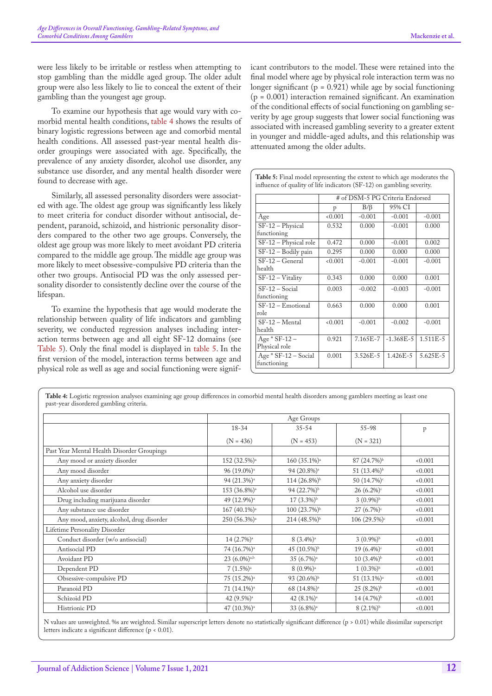were less likely to be irritable or restless when attempting to stop gambling than the middle aged group. The older adult group were also less likely to lie to conceal the extent of their gambling than the youngest age group.

To examine our hypothesis that age would vary with comorbid mental health conditions, [table 4](#page-6-0) shows the results of binary logistic regressions between age and comorbid mental health conditions. All assessed past-year mental health disorder groupings were associated with age. Specifically, the prevalence of any anxiety disorder, alcohol use disorder, any substance use disorder, and any mental health disorder were found to decrease with age.

Similarly, all assessed personality disorders were associated with age. The oldest age group was significantly less likely to meet criteria for conduct disorder without antisocial, dependent, paranoid, schizoid, and histrionic personality disorders compared to the other two age groups. Conversely, the oldest age group was more likely to meet avoidant PD criteria compared to the middle age group. The middle age group was more likely to meet obsessive-compulsive PD criteria than the other two groups. Antisocial PD was the only assessed personality disorder to consistently decline over the course of the lifespan.

To examine the hypothesis that age would moderate the relationship between quality of life indicators and gambling severity, we conducted regression analyses including interaction terms between age and all eight SF-12 domains (see [Table 5\)](#page-6-1). Only the final model is displayed in [table 5.](#page-6-1) In the first version of the model, interaction terms between age and physical role as well as age and social functioning were significant contributors to the model. These were retained into the final model where age by physical role interaction term was no longer significant ( $p = 0.921$ ) while age by social functioning  $(p = 0.001)$  interaction remained significant. An examination of the conditional effects of social functioning on gambling severity by age group suggests that lower social functioning was associated with increased gambling severity to a greater extent in younger and middle-aged adults, and this relationship was attenuated among the older adults.

<span id="page-6-1"></span>

|                                       | # of DSM-5 PG Criteria Endorsed |              |              |              |  |
|---------------------------------------|---------------------------------|--------------|--------------|--------------|--|
|                                       | p                               | $B/\beta$    | 95% CI       |              |  |
| Age                                   | 0.001                           | $-0.001$     | $-0.001$     | $-0.001$     |  |
| SF-12 - Physical<br>functioning       | 0.532                           | 0.000        | $-0.001$     | 0.000        |  |
| SF-12 - Physical role                 | 0.472                           | 0.000        | $-0.001$     | 0.002        |  |
| $SF-12 - Body pain$                   | 0.295                           | 0.000        | 0.000        | 0.000        |  |
| SF-12 - General<br>health             | 0.001                           | $-0.001$     | $-0.001$     | $-0.001$     |  |
| SF-12 - Vitality                      | 0.343                           | 0.000        | 0.000        | 0.001        |  |
| $SF-12 - Social$<br>functioning       | 0.003                           | $-0.002$     | $-0.003$     | $-0.001$     |  |
| $SF-12 - Emotional$<br>role           | 0.663                           | 0.000        | 0.000        | 0.001        |  |
| SF-12 - Mental<br>health              | < 0.001                         | $-0.001$     | $-0.002$     | $-0.001$     |  |
| Age $*$ SF-12 –<br>Physical role      | 0.921                           | $7.165E - 7$ | $-1.368E-5$  | 1.511E-5     |  |
| $Age * SF-12 - Social$<br>functioning | 0.001                           | $3.526E - 5$ | $1.426E - 5$ | $5.625E - 5$ |  |

<span id="page-6-0"></span>**Table 4:** Logistic regression analyses examining age group differences in comorbid mental health disorders among gamblers meeting as least one past-year disordered gambling criteria.

|                                            | 18-34                      | $35 - 54$                | $55 - 98$               | p     |
|--------------------------------------------|----------------------------|--------------------------|-------------------------|-------|
|                                            | $(N = 436)$                | $(N = 453)$              | $(N = 321)$             |       |
| Past Year Mental Health Disorder Groupings |                            |                          |                         |       |
| Any mood or anxiety disorder               | 152 (32.5%) <sup>a</sup>   | 160 (35.1%) <sup>a</sup> | 87 (24.7%) <sup>b</sup> | 0.001 |
| Any mood disorder                          | 96 (19.0%) <sup>a</sup>    | 94 (20.8%) <sup>a</sup>  | 51 (13.4%) <sup>b</sup> | 0.001 |
| Any anxiety disorder                       | 94 (21.3%) <sup>a</sup>    | $114 (26.8\%)^b$         | 50 (14.7%) <sup>c</sup> | 0.001 |
| Alcohol use disorder                       | 153 (36.8%) <sup>a</sup>   | 94 (22.7%) <sup>b</sup>  | $26(6.2\%)$             | 0.001 |
| Drug including marijuana disorder          | 49 (12.9%) <sup>a</sup>    | $17(3.3\%)^{\rm b}$      | $3(0.9\%)^b$            | 0.001 |
| Any substance use disorder                 | 167 (40.1%) <sup>a</sup>   | $100(23.7%)^b$           | $27(6.7\%)$             | 0.001 |
| Any mood, anxiety, alcohol, drug disorder  | 250 (56.3%) <sup>a</sup>   | 214 (48.5%) <sup>b</sup> | $106(29.5\%)$           | 0.001 |
| Lifetime Personality Disorder              |                            |                          |                         |       |
| Conduct disorder (w/o antisocial)          | 14 (2.7%) <sup>a</sup>     | $8(3.4\%)$ <sup>a</sup>  | $3(0.9\%)^b$            | 0.001 |
| Antisocial PD                              | 74 (16.7%) <sup>a</sup>    | 45 (10.5%) <sup>b</sup>  | 19 (6.4%) <sup>c</sup>  | 0.001 |
| Avoidant PD                                | $23(6.0\%)$ <sup>a,b</sup> | 35 (6.7%) <sup>a</sup>   | $10(3.4\%)^b$           | 0.001 |
| Dependent PD                               | $7(1.5\%)$ <sup>a</sup>    | $8(0.9\%)$ <sup>a</sup>  | $1(0.3\%)^b$            | 0.001 |
| Obsessive-compulsive PD                    | 75 (15.2%) <sup>a</sup>    | 93 $(20.6\%)^b$          | 51 (13.1%) <sup>a</sup> | 0.001 |
| Paranoid PD                                | 71 (14.1%) <sup>a</sup>    | 68 (14.8%) <sup>a</sup>  | $25(8.2\%)^b$           | 0.001 |
| Schizoid PD                                | 42 (9.5%) <sup>a</sup>     | 42 (8.1%) <sup>a</sup>   | 14 (4.7%) <sup>b</sup>  | 0.001 |
| Histrionic PD                              | 47 (10.3%) <sup>a</sup>    | 33 (6.8%) <sup>a</sup>   | $8(2.1\%)^b$            | 0.001 |

N values are unweighted. % are weighted. Similar superscript letters denote no statistically significant difference (p > 0.01) while dissimilar superscript letters indicate a significant difference (p < 0.01).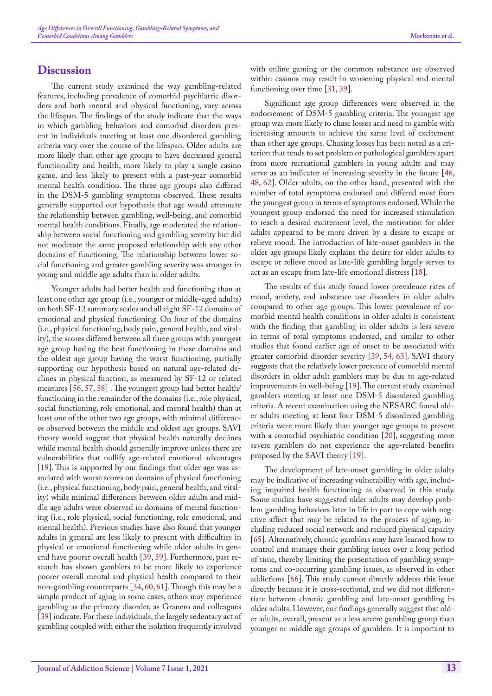## **Discussion**

The current study examined the way gambling-related features, including prevalence of comorbid psychiatric disorders and both mental and physical functioning, vary across the lifespan. The findings of the study indicate that the ways in which gambling behaviors and comorbid disorders present in individuals meeting at least one disordered gambling criteria vary over the course of the lifespan. Older adults are more likely than other age groups to have decreased general functionality and health, more likely to play a single casino game, and less likely to present with a past-year comorbid mental health condition. The three age groups also differed in the DSM-5 gambling symptoms observed. These results generally supported our hypothesis that age would attenuate the relationship between gambling, well-being, and comorbid mental health conditions. Finally, age moderated the relationship between social functioning and gambling severity but did not moderate the same proposed relationship with any other domains of functioning. The relationship between lower social functioning and greater gambling severity was stronger in young and middle age adults than in older adults.

Younger adults had better health and functioning than at least one other age group (i.e., younger or middle-aged adults) on both SF-12 summary scales and all eight SF-12 domains of emotional and physical functioning. On four of the domains (i.e., physical functioning, body pain, general health, and vitality), the scores differed between all three groups with youngest age group having the best functioning in these domains and the oldest age group having the worst functioning, partially supporting our hypothesis based on natural age-related declines in physical function, as measured by SF-12 or related measures [[56,](#page-10-21) [57,](#page-10-22) [58](#page-10-23)] . The youngest group had better health/ functioning in the remainder of the domains (i.e., role physical, social functioning, role emotional, and mental health) than at least one of the other two age groups, with minimal differences observed between the middle and oldest age groups. SAVI theory would suggest that physical health naturally declines while mental health should generally improve unless there are vulnerabilities that nullify age-related emotional advantages [[19\]](#page-9-13). This is supported by our findings that older age was associated with worse scores on domains of physical functioning (i.e., physical functioning, body pain, general health, and vitality) while minimal differences between older adults and middle age adults were observed in domains of mental functioning (i.e., role physical, social functioning, role emotional, and mental health). Previous studies have also found that younger adults in general are less likely to present with difficulties in physical or emotional functioning while older adults in general have poorer overall health [\[39](#page-10-7), [59\]](#page-10-24). Furthermore, past research has shown gamblers to be more likely to experience poorer overall mental and physical health compared to their non-gambling counterparts [[34,](#page-10-2) [60](#page-10-25), [61](#page-10-26)]. Though this may be a simple product of aging in some cases, others may experience gambling as the primary disorder, as Granero and colleagues [[39\]](#page-10-7) indicate. For these individuals, the largely sedentary act of gambling coupled with either the isolation frequently involved

with online gaming or the common substance use observed within casinos may result in worsening physical and mental functioning over time [\[31](#page-10-8), [39\]](#page-10-7).

Significant age group differences were observed in the endorsement of DSM-5 gambling criteria. The youngest age group was more likely to chase losses and need to gamble with increasing amounts to achieve the same level of excitement than other age groups. Chasing losses has been noted as a criterion that tends to set problem or pathological gamblers apart from more recreational gamblers in young adults and may serve as an indicator of increasing severity in the future [\[46](#page-10-27), [48](#page-10-16), [62\]](#page-10-28). Older adults, on the other hand, presented with the number of total symptoms endorsed and differed most from the youngest group in terms of symptoms endorsed. While the youngest group endorsed the need for increased stimulation to reach a desired excitement level, the motivation for older adults appeared to be more driven by a desire to escape or relieve mood. The introduction of late-onset gamblers in the older age groups likely explains the desire for older adults to escape or relieve mood as late-life gambling largely serves to act as an escape from late-life emotional distress [[18\]](#page-9-12).

The results of this study found lower prevalence rates of mood, anxiety, and substance use disorders in older adults compared to other age groups. This lower prevalence of comorbid mental health conditions in older adults is consistent with the finding that gambling in older adults is less severe in terms of total symptoms endorsed, and similar to other studies that found earlier age of onset to be associated with greater comorbid disorder severity [\[39](#page-10-7), [54](#page-10-19), 63]. SAVI theory suggests that the relatively lower presence of comorbid mental disorders in older adult gamblers may be due to age-related improvements in well-being [[19\]](#page-9-13). The current study examined gamblers meeting at least one DSM-5 disordered gambling criteria. A recent examination using the NESARC found older adults meeting at least four DSM-5 disordered gambling criteria were more likely than younger age groups to present with a comorbid psychiatric condition [\[20](#page-9-14)], suggesting more severe gamblers do not experience the age-related benefits proposed by the SAVI theory [[19\]](#page-9-13).

The development of late-onset gambling in older adults may be indicative of increasing vulnerability with age, including impaired health functioning as observed in this study. Some studies have suggested older adults may develop problem gambling behaviors later in life in part to cope with negative affect that may be related to the process of aging, including reduced social network and reduced physical capacity [[65\]](#page-11-0). Alternatively, chronic gamblers may have learned how to control and manage their gambling issues over a long period of time, thereby limiting the presentation of gambling symptoms and co-occurring gambling issues, as observed in other addictions [\[66](#page-11-1)]. This study cannot directly address this issue directly because it is cross-sectional, and we did not differentiate between chronic gambling and late-onset gambling in older adults. However, our findings generally suggest that older adults, overall, present as a less severe gambling group than younger or middle age groups of gamblers. It is important to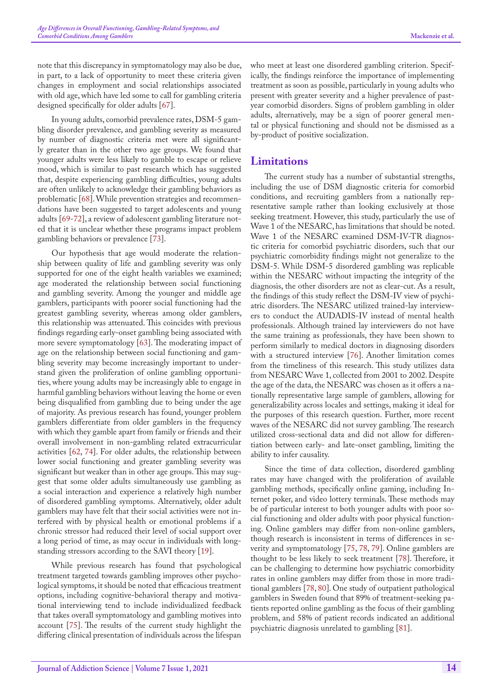note that this discrepancy in symptomatology may also be due, in part, to a lack of opportunity to meet these criteria given changes in employment and social relationships associated with old age, which have led some to call for gambling criteria designed specifically for older adults [\[67](#page-11-2)].

In young adults, comorbid prevalence rates, DSM-5 gambling disorder prevalence, and gambling severity as measured by number of diagnostic criteria met were all significantly greater than in the other two age groups. We found that younger adults were less likely to gamble to escape or relieve mood, which is similar to past research which has suggested that, despite experiencing gambling difficulties, young adults are often unlikely to acknowledge their gambling behaviors as problematic [[68\]](#page-11-3). While prevention strategies and recommendations have been suggested to target adolescents and young adults [\[69](#page-11-4)[-72](#page-11-5)], a review of adolescent gambling literature noted that it is unclear whether these programs impact problem gambling behaviors or prevalence [73].

Our hypothesis that age would moderate the relationship between quality of life and gambling severity was only supported for one of the eight health variables we examined; age moderated the relationship between social functioning and gambling severity. Among the younger and middle age gamblers, participants with poorer social functioning had the greatest gambling severity, whereas among older gamblers, this relationship was attenuated. This coincides with previous findings regarding early-onset gambling being associated with more severe symptomatology [63]. The moderating impact of age on the relationship between social functioning and gambling severity may become increasingly important to understand given the proliferation of online gambling opportunities, where young adults may be increasingly able to engage in harmful gambling behaviors without leaving the home or even being disqualified from gambling due to being under the age of majority. As previous research has found, younger problem gamblers differentiate from older gamblers in the frequency with which they gamble apart from family or friends and their overall involvement in non-gambling related extracurricular activities [\[62](#page-10-28), [74\]](#page-11-6). For older adults, the relationship between lower social functioning and greater gambling severity was significant but weaker than in other age groups. This may suggest that some older adults simultaneously use gambling as a social interaction and experience a relatively high number of disordered gambling symptoms. Alternatively, older adult gamblers may have felt that their social activities were not interfered with by physical health or emotional problems if a chronic stressor had reduced their level of social support over a long period of time, as may occur in individuals with longstanding stressors according to the SAVI theory [[19\]](#page-9-13).

While previous research has found that psychological treatment targeted towards gambling improves other psychological symptoms, it should be noted that efficacious treatment options, including cognitive-behavioral therapy and motivational interviewing tend to include individualized feedback that takes overall symptomatology and gambling motives into account [[75\]](#page-11-7). The results of the current study highlight the differing clinical presentation of individuals across the lifespan

who meet at least one disordered gambling criterion. Specifically, the findings reinforce the importance of implementing treatment as soon as possible, particularly in young adults who present with greater severity and a higher prevalence of pastyear comorbid disorders. Signs of problem gambling in older adults, alternatively, may be a sign of poorer general mental or physical functioning and should not be dismissed as a by-product of positive socialization.

## **Limitations**

The current study has a number of substantial strengths, including the use of DSM diagnostic criteria for comorbid conditions, and recruiting gamblers from a nationally representative sample rather than looking exclusively at those seeking treatment. However, this study, particularly the use of Wave 1 of the NESARC, has limitations that should be noted. Wave 1 of the NESARC examined DSM-IV-TR diagnostic criteria for comorbid psychiatric disorders, such that our psychiatric comorbidity findings might not generalize to the DSM-5. While DSM-5 disordered gambling was replicable within the NESARC without impacting the integrity of the diagnosis, the other disorders are not as clear-cut. As a result, the findings of this study reflect the DSM-IV view of psychiatric disorders. The NESARC utilized trained-lay interviewers to conduct the AUDADIS-IV instead of mental health professionals. Although trained lay interviewers do not have the same training as professionals, they have been shown to perform similarly to medical doctors in diagnosing disorders with a structured interview [[76\]](#page-11-8). Another limitation comes from the timeliness of this research. This study utilizes data from NESARC Wave 1, collected from 2001 to 2002. Despite the age of the data, the NESARC was chosen as it offers a nationally representative large sample of gamblers, allowing for generalizability across locales and settings, making it ideal for the purposes of this research question. Further, more recent waves of the NESARC did not survey gambling. The research utilized cross-sectional data and did not allow for differentiation between early- and late-onset gambling, limiting the ability to infer causality.

Since the time of data collection, disordered gambling rates may have changed with the proliferation of available gambling methods, specifically online gaming, including Internet poker, and video lottery terminals. These methods may be of particular interest to both younger adults with poor social functioning and older adults with poor physical functioning. Online gamblers may differ from non-online gamblers, though research is inconsistent in terms of differences in severity and symptomatology [[75,](#page-11-7) [78,](#page-11-9) 79]. Online gamblers are thought to be less likely to seek treatment [\[78](#page-11-9)]. Therefore, it can be challenging to determine how psychiatric comorbidity rates in online gamblers may differ from those in more traditional gamblers [[78,](#page-11-9) [80\]](#page-11-10). One study of outpatient pathological gamblers in Sweden found that 89% of treatment-seeking patients reported online gambling as the focus of their gambling problem, and 58% of patient records indicated an additional psychiatric diagnosis unrelated to gambling [81].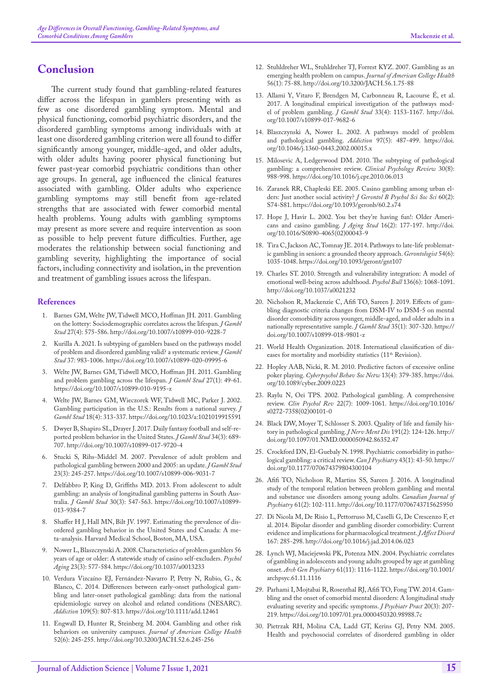## **Conclusion**

The current study found that gambling-related features differ across the lifespan in gamblers presenting with as few as one disordered gambling symptom. Mental and physical functioning, comorbid psychiatric disorders, and the disordered gambling symptoms among individuals with at least one disordered gambling criterion were all found to differ significantly among younger, middle-aged, and older adults, with older adults having poorer physical functioning but fewer past-year comorbid psychiatric conditions than other age groups. In general, age influenced the clinical features associated with gambling. Older adults who experience gambling symptoms may still benefit from age-related strengths that are associated with fewer comorbid mental health problems. Young adults with gambling symptoms may present as more severe and require intervention as soon as possible to help prevent future difficulties. Further, age moderates the relationship between social functioning and gambling severity, highlighting the importance of social factors, including connectivity and isolation, in the prevention and treatment of gambling issues across the lifespan.

#### **References**

- <span id="page-9-0"></span>1. [Barnes GM, Welte JW, Tidwell MCO, Hoffman JH. 2011. Gambling](https://pubmed.ncbi.nlm.nih.gov/21132521/)  [on the lottery: Sociodemographic correlates across the lifespan.](https://pubmed.ncbi.nlm.nih.gov/21132521/) *J Gambl Stud* [27\(4\): 575-586.](https://pubmed.ncbi.nlm.nih.gov/21132521/) <http://doi.org/10.1007/s10899-010-9228-7>
- <span id="page-9-8"></span>2. [Kurilla A. 2021. Is subtyping of gamblers based on the pathways model](https://link.springer.com/article/10.1007/s10899-020-09995-6)  [of problem and disordered gambling valid? a systematic review.](https://link.springer.com/article/10.1007/s10899-020-09995-6) *J Gambl Stud* [37: 983-1006.](https://link.springer.com/article/10.1007/s10899-020-09995-6) <https://doi.org/10.1007/s10899-020-09995-6>
- 3. [Welte JW, Barnes GM, Tidwell MCO, Hoffman JH. 2011. Gambling](https://pubmed.ncbi.nlm.nih.gov/20499144/)  [and problem gambling across the lifespan.](https://pubmed.ncbi.nlm.nih.gov/20499144/) *J Gambl Stud* 27(1): 49-61. <https://doi.org/10.1007/s10899-010-9195-z>
- 4. [Welte JW, Barnes GM, Wieczorek WF, Tidwell MC, Parker J. 2002.](https://pubmed.ncbi.nlm.nih.gov/12514913/)  [Gambling participation in the U.S.: Results from a national survey.](https://pubmed.ncbi.nlm.nih.gov/12514913/) *J Gambl Stud* [18\(4\): 313-337.](https://pubmed.ncbi.nlm.nih.gov/12514913/) <https://doi.org/10.1023/a:1021019915591>
- <span id="page-9-1"></span>5. [Dwyer B, Shapiro SL, Drayer J. 2017. Daily fantasy football and self-re](https://pubmed.ncbi.nlm.nih.gov/28951978/)[ported problem behavior in the United States.](https://pubmed.ncbi.nlm.nih.gov/28951978/) *J Gambl Stud* 34(3): 689- [707.](https://pubmed.ncbi.nlm.nih.gov/28951978/) <http://doi.org/10.1007/s10899-017-9720-4>
- <span id="page-9-2"></span>6. [Stucki S, Rihs-Middel M. 2007. Prevalence of adult problem and](https://link.springer.com/article/10.1007/s10899-006-9031-7)  [pathological gambling between 2000 and 2005: an update.](https://link.springer.com/article/10.1007/s10899-006-9031-7) *J Gambl Stud* [23\(3\): 245-257.](https://link.springer.com/article/10.1007/s10899-006-9031-7) <https://doi.org/10.1007/s10899-006-9031-7>
- <span id="page-9-3"></span>7. [Delfabbro P, King D, Griffiths MD. 2013. From adolescent to adult](https://link.springer.com/article/10.1007%2Fs10899-013-9384-7)  [gambling: an analysis of longitudinal gambling patterns in South Aus](https://link.springer.com/article/10.1007%2Fs10899-013-9384-7)tralia. *J Gambl Stud* [30\(3\): 547-563.](https://link.springer.com/article/10.1007%2Fs10899-013-9384-7) [https://doi.org/10.1007/s10899-](https://doi.org/10.1007/s10899-013-9384-7) [013-9384-7](https://doi.org/10.1007/s10899-013-9384-7)
- <span id="page-9-4"></span>8. [Shaffer H J, Hall MN, Bilt JV. 1997. Estimating the prevalence of dis](http://www.divisiononaddiction.org/html/publications/meta.pdf)[ordered gambling behavior in the United States and Canada: A me](http://www.divisiononaddiction.org/html/publications/meta.pdf)[ta-analysis. Harvard Medical School, Boston, MA, USA.](http://www.divisiononaddiction.org/html/publications/meta.pdf)
- <span id="page-9-5"></span>9. [Nower L, Blaszczynski A. 2008. Characteristics of problem gamblers 56](https://pubmed.ncbi.nlm.nih.gov/18808247/)  [years of age or older: A statewide study of casino self-excluders.](https://pubmed.ncbi.nlm.nih.gov/18808247/) *Psychol Aging* [23\(3\): 577-584.](https://pubmed.ncbi.nlm.nih.gov/18808247/) <https://doi.org/10.1037/a0013233>
- 10. [Verdura Vizcaíno EJ, Fernández-Navarro P, Petry N, Rubio, G., &](https://onlinelibrary.wiley.com/doi/abs/10.1111/add.12461)  [Blanco, C. 2014. Differences between early-onset pathological gam](https://onlinelibrary.wiley.com/doi/abs/10.1111/add.12461)[bling and later-onset pathological gambling: data from the national](https://onlinelibrary.wiley.com/doi/abs/10.1111/add.12461)  [epidemiologic survey on alcohol and related conditions \(NESARC\).](https://onlinelibrary.wiley.com/doi/abs/10.1111/add.12461)  *Addiction* [109\(5\): 807-813.](https://onlinelibrary.wiley.com/doi/abs/10.1111/add.12461) <https://doi.org/10.1111/add.12461>
- <span id="page-9-6"></span>11. [Engwall D, Hunter R, Steinberg M. 2004. Gambling and other risk](https://www.tandfonline.com/doi/abs/10.3200/JACH.52.6.245-256)  [behaviors on university campuses.](https://www.tandfonline.com/doi/abs/10.3200/JACH.52.6.245-256) *Journal of American College Health* [52\(6\): 245-255.](https://www.tandfonline.com/doi/abs/10.3200/JACH.52.6.245-256) <http://doi.org/10.3200/JACH.52.6.245-256>
- <span id="page-9-7"></span>12. [Stuhldreher WL, Stuhldreher TJ, Forrest KYZ. 2007. Gambling as an](https://www.tandfonline.com/doi/abs/10.3200/JACH.56.1.75-88)  [emerging health problem on campus.](https://www.tandfonline.com/doi/abs/10.3200/JACH.56.1.75-88) *Journal of American College Health* [56\(1\): 75-88](https://www.tandfonline.com/doi/abs/10.3200/JACH.56.1.75-88). <http://doi.org/10.3200/JACH.56.1.75-88>
- 13. [Allami Y, Vitaro F, Brendgen M, Carbonneau R, Lacourse É, et al.](https://pubmed.ncbi.nlm.nih.gov/28271371/)  [2017. A longitudinal empirical investigation of the pathways mod](https://pubmed.ncbi.nlm.nih.gov/28271371/)[el of problem gambling.](https://pubmed.ncbi.nlm.nih.gov/28271371/) *J Gambl Stud* 33(4): 1153-1167. [http://doi.](http://doi.org/10.1007/s10899-017-9682-6) [org/10.1007/s10899-017-9682-6](http://doi.org/10.1007/s10899-017-9682-6)
- <span id="page-9-9"></span>14. [Blaszczynski A, Nower L. 2002. A pathways model of problem](https://onlinelibrary.wiley.com/doi/abs/10.1046/j.1360-0443.2002.00015.x)  [and pathological gambling.](https://onlinelibrary.wiley.com/doi/abs/10.1046/j.1360-0443.2002.00015.x) *Addiction* 97(5): 487-499. [https://doi.](https://doi.org/10.1046/j.1360-0443.2002.00015.x) [org/10.1046/j.1360-0443.2002.00015.x](https://doi.org/10.1046/j.1360-0443.2002.00015.x)
- <span id="page-9-10"></span>15. [Milosevic A, Ledgerwood DM. 2010. The subtyping of pathological](https://www.sciencedirect.com/science/article/abs/pii/S0272735810001078)  [gambling: a comprehensive review.](https://www.sciencedirect.com/science/article/abs/pii/S0272735810001078) *Clinical Psychology Review* 30(8): [988-998.](https://www.sciencedirect.com/science/article/abs/pii/S0272735810001078) <https://doi.org/10.1016/j.cpr.2010.06.013>
- 16. [Zaranek RR, Chapleski EE. 2005. Casino gambling among urban el](https://pubmed.ncbi.nlm.nih.gov/15746028/)[ders: Just another social activity?](https://pubmed.ncbi.nlm.nih.gov/15746028/) *J Gerontol B Psychol Sci Soc Sci* 60(2): [S74-S81.](https://pubmed.ncbi.nlm.nih.gov/15746028/) <https://doi.org/10.1093/geronb/60.2.s74>
- <span id="page-9-11"></span>17. [Hope J, Havir L. 2002. You bet they](https://doi.org/10.1016/S0890-4065(02)00043-9)'re having fun!: Older Ameri[cans and casino gambling.](https://doi.org/10.1016/S0890-4065(02)00043-9) *J Aging Stud* 16(2): 177-197. [http://doi.](http://doi.org/10.1016/S0890-4065(02)00043-9) [org/10.1016/S0890-4065\(02\)00043-9](http://doi.org/10.1016/S0890-4065(02)00043-9)
- <span id="page-9-12"></span>18. [Tira C, Jackson AC, Tomnay JE. 2014. Pathways to late-life problemat](https://pubmed.ncbi.nlm.nih.gov/24097441/)[ic gambling in seniors: a grounded theory approach.](https://pubmed.ncbi.nlm.nih.gov/24097441/) *Gerontologist* 54(6): [1035-1048.](https://pubmed.ncbi.nlm.nih.gov/24097441/) <https://doi.org/10.1093/geront/gnt107>
- <span id="page-9-13"></span>19. [Charles ST. 2010. Strength and vulnerability integration: A model of](https://pubmed.ncbi.nlm.nih.gov/21038939/)  [emotional well-being across adulthood.](https://pubmed.ncbi.nlm.nih.gov/21038939/) *Psychol Bull* 136(6): 1068-1091. <http://doi.org/10.1037/a0021232>
- <span id="page-9-14"></span>20. [Nicholson R, Mackenzie C, Afifi TO, Sareen J. 2019. Effects of gam](https://pubmed.ncbi.nlm.nih.gov/30167940/)[bling diagnostic criteria changes from DSM-IV to DSM-5 on mental](https://pubmed.ncbi.nlm.nih.gov/30167940/)  [disorder comorbidity across younger, middle-aged, and older adults in a](https://pubmed.ncbi.nlm.nih.gov/30167940/)  [nationally representative sample.](https://pubmed.ncbi.nlm.nih.gov/30167940/) *J Gambl Stud* 35(1): 307-320. [https://](https://doi.org/10.1007/s10899-018-9801-z) [doi.org/10.1007/s10899-018-9801-z](https://doi.org/10.1007/s10899-018-9801-z)
- 21. [World Health Organization. 2018. International classification of dis](https://icd.who.int/browse11_2018-06/l-m/en)eases for mortality and morbidity statistics (11<sup>th</sup> Revision).
- <span id="page-9-15"></span>22. [Hopley AAB, Nicki, R. M. 2010. Predictive factors of excessive online](file:///C:\Users\Raghav\Desktop\JAS R!\Cyberpsychol Behav Soc Netw)  poker playing. *[Cyberpsychol Behav Soc Netw](file:///C:\Users\Raghav\Desktop\JAS R!\Cyberpsychol Behav Soc Netw)* 13(4): 379-385. [https://doi.](https://doi.org/10.1089/cyber.2009.0223) [org/10.1089/cyber.2009.0223](https://doi.org/10.1089/cyber.2009.0223)
- <span id="page-9-16"></span>23. [Raylu N, Oei TPS. 2002. Pathological gambling. A comprehensive](https://pubmed.ncbi.nlm.nih.gov/12238245/)  review. *Clin Psychol Rev* [22\(7\): 1009-1061.](https://pubmed.ncbi.nlm.nih.gov/12238245/) [https://doi.org/10.1016/](https://doi.org/10.1016/s0272-7358(02)00101-0) [s0272-7358\(02\)00101-0](https://doi.org/10.1016/s0272-7358(02)00101-0)
- <span id="page-9-17"></span>24. [Black DW, Moyer T, Schlosser S. 2003. Quality of life and family his](https://pubmed.ncbi.nlm.nih.gov/12586967/)[tory in pathological gambling.](https://pubmed.ncbi.nlm.nih.gov/12586967/) *J Nerv Ment Dis* 191(2): 124-126. [http://](http://doi.org/10.1097/01.NMD.0000050942.86352.47) [doi.org/10.1097/01.NMD.0000050942.86352.47](http://doi.org/10.1097/01.NMD.0000050942.86352.47)
- <span id="page-9-18"></span>25. [Crockford DN, El-Guebaly N. 1998. Psychiatric comorbidity in patho](https://pubmed.ncbi.nlm.nih.gov/9494746/)[logical gambling: a critical review.](https://pubmed.ncbi.nlm.nih.gov/9494746/) *Can J Psychiatry* 43(1): 43-50. [https://](https://doi.org/10.1177/070674379804300104) [doi.org/10.1177/070674379804300104](https://doi.org/10.1177/070674379804300104)
- 26. [Afifi TO, Nicholson R, Martins SS, Sareen J. 2016. A longitudinal](https://journals.sagepub.com/doi/10.1177/0706743715625950)  [study of the temporal relation between problem gambling and mental](https://journals.sagepub.com/doi/10.1177/0706743715625950)  [and substance use disorders among young adults.](https://journals.sagepub.com/doi/10.1177/0706743715625950) *Canadian Journal of Psychiatry* [61\(2\): 102-111.](https://journals.sagepub.com/doi/10.1177/0706743715625950) <http://doi.org/10.1177/0706743715625950>
- 27. [Di Nicola M, De Risio L, Pettorruso M, Caselli G, De Crescenzo F, et](https://pubmed.ncbi.nlm.nih.gov/24999863/)  [al. 2014. Bipolar disorder and gambling disorder comorbidity: Current](https://pubmed.ncbi.nlm.nih.gov/24999863/)  [evidence and implications for pharmacological treatment.](https://pubmed.ncbi.nlm.nih.gov/24999863/) *J Affect Disord* [167: 285-298.](https://pubmed.ncbi.nlm.nih.gov/24999863/) <http://doi.org/10.1016/j.jad.2014.06.023>
- 28. [Lynch WJ, Maciejewski PK, Potenza MN. 2004. Psychiatric correlates](https://jamanetwork.com/journals/jamapsychiatry/fullarticle/482084)  [of gambling in adolescents and young adults grouped by age at gambling](https://jamanetwork.com/journals/jamapsychiatry/fullarticle/482084)  onset. *Arch Gen Psychiatry* [61\(11\): 1116-1122.](https://jamanetwork.com/journals/jamapsychiatry/fullarticle/482084) [https://doi.org/10.1001/](https://doi.org/10.1001/archpsyc.61.11.1116) [archpsyc.61.11.1116](https://doi.org/10.1001/archpsyc.61.11.1116)
- 29. [Parhami I, Mojtabai R, Rosenthal RJ, Afifi TO, Fong TW. 2014. Gam](https://pubmed.ncbi.nlm.nih.gov/24847994/)[bling and the onset of comorbid mental disorders: A longitudinal study](https://pubmed.ncbi.nlm.nih.gov/24847994/)  [evaluating severity and specific symptoms.](https://pubmed.ncbi.nlm.nih.gov/24847994/) *J Psychiatr Pract* 20(3): 207- [219.](https://pubmed.ncbi.nlm.nih.gov/24847994/) <https://doi.org/10.1097/01.pra.0000450320.98988.7c>
- <span id="page-9-19"></span>30. [Pietrzak RH, Molina CA, Ladd GT, Kerins GJ, Petry NM. 2005.](https://www.sciencedirect.com/science/article/abs/pii/S1064748112614420)  [Health and psychosocial correlates of disordered gambling in older](https://www.sciencedirect.com/science/article/abs/pii/S1064748112614420)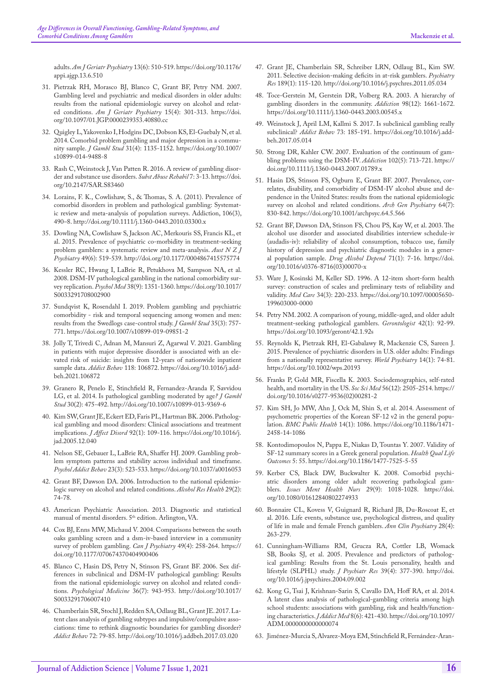<span id="page-10-8"></span>adults. *[Am J Geriatr Psychiatry](https://www.sciencedirect.com/science/article/abs/pii/S1064748112614420)* 13(6): 510-519. [https://doi.org/10.1176/](https://doi.org/10.1176/appi.ajgp.13.6.510) [appi.ajgp.13.6.510](https://doi.org/10.1176/appi.ajgp.13.6.510)

- 31. [Pietrzak RH, Morasco BJ, Blanco C, Grant BF, Petry NM. 2007.](https://pubmed.ncbi.nlm.nih.gov/17095749/) [Gambling level and psychiatric and medical disorders in older adults:](https://pubmed.ncbi.nlm.nih.gov/17095749/)  [results from the national epidemiologic survey on alcohol and relat](https://pubmed.ncbi.nlm.nih.gov/17095749/)ed conditions. *[Am J Geriatr Psychiatry](https://pubmed.ncbi.nlm.nih.gov/17095749/)* 15(4): 301-313. [https://doi.](https://doi.org/10.1097/01.JGP.0000239353.40880.cc) [org/10.1097/01.JGP.0000239353.40880.cc](https://doi.org/10.1097/01.JGP.0000239353.40880.cc)
- <span id="page-10-0"></span>32. [Quigley L, Yakovenko I, Hodgins DC, Dobson KS, El-Guebaly N, et al.](https://pubmed.ncbi.nlm.nih.gov/25112217/)  [2014. Comorbid problem gambling and major depression in a commu](https://pubmed.ncbi.nlm.nih.gov/25112217/)nity sample. *J Gambl Stud* [31\(4\): 1135-1152.](https://pubmed.ncbi.nlm.nih.gov/25112217/) [https://doi.org/10.1007/](https://doi.org/10.1007/s10899-014-9488-8) [s10899-014-9488-8](https://doi.org/10.1007/s10899-014-9488-8)
- <span id="page-10-1"></span>33. [Rash C, Weinstock J, Van Patten R. 2016. A review of gambling disor](https://pubmed.ncbi.nlm.nih.gov/27051333/)[der and substance use disorders.](https://pubmed.ncbi.nlm.nih.gov/27051333/) *Subst Abuse Rehabil* 7: 3-13. [https://doi.](https://doi.org/10.2147/SAR.S83460) [org/10.2147/SAR.S83460](https://doi.org/10.2147/SAR.S83460)
- <span id="page-10-2"></span>34. Lorains, F. K., Cowlishaw, S., & Thomas, S. A. (2011). Prevalence of comorbid disorders in problem and pathological gambling: Systematic review and meta-analysis of population surveys. Addiction, 106(3), 490–8. http://doi.org/10.1111/j.1360-0443.2010.03300.x
- <span id="page-10-3"></span>35. [Dowling NA, Cowlishaw S, Jackson AC, Merkouris SS, Francis KL, et](https://pubmed.ncbi.nlm.nih.gov/25735959/)  [al. 2015. Prevalence of psychiatric co-morbidity in treatment-seeking](https://pubmed.ncbi.nlm.nih.gov/25735959/)  [problem gamblers: a systematic review and meta-analysis.](https://pubmed.ncbi.nlm.nih.gov/25735959/) *Aust N Z J Psychiatry* [49\(6\): 519-539.](https://pubmed.ncbi.nlm.nih.gov/25735959/) <http://doi.org/10.1177/0004867415575774>
- <span id="page-10-4"></span>36. [Kessler RC, Hwang I, LaBrie R, Petukhova M, Sampson NA, et al.](https://pubmed.ncbi.nlm.nih.gov/18257941/)  [2008. DSM-IV pathological gambling in the national comorbidity sur](https://pubmed.ncbi.nlm.nih.gov/18257941/)vey replication. *Psychol Med* [38\(9\): 1351-1360.](https://pubmed.ncbi.nlm.nih.gov/18257941/) [https://doi.org/10.1017/](https://doi.org/10.1017/S0033291708002900) [S0033291708002900](https://doi.org/10.1017/S0033291708002900)
- <span id="page-10-5"></span>37. [Sundqvist K, Rosendahl I. 2019. Problem gambling and psychiatric](https://pubmed.ncbi.nlm.nih.gov/31025162/)  [comorbidity - risk and temporal sequencing among women and men:](https://pubmed.ncbi.nlm.nih.gov/31025162/)  [results from the Swedlogs case-control study.](https://pubmed.ncbi.nlm.nih.gov/31025162/) *J Gambl Stud* 35(3): 757- [771.](https://pubmed.ncbi.nlm.nih.gov/31025162/) <https://doi.org/10.1007/s10899-019-09851-2>
- <span id="page-10-6"></span>38. [Jolly T, Trivedi C, Adnan M, Mansuri Z, Agarwal V. 2021. Gambling](https://pubmed.ncbi.nlm.nih.gov/33676161/)  [in patients with major depressive disordder is associated with an ele](https://pubmed.ncbi.nlm.nih.gov/33676161/)[vated risk of suicide: insights from 12-years of nationwide inpatient](https://pubmed.ncbi.nlm.nih.gov/33676161/)  sample data. *Addict Behav* [118: 106872.](https://pubmed.ncbi.nlm.nih.gov/33676161/) [https://doi.org/10.1016/j.add](https://doi.org/10.1016/j.addbeh.2021.106872)[beh.2021.106872](https://doi.org/10.1016/j.addbeh.2021.106872)
- <span id="page-10-7"></span>39. [Granero R, Penelo E, Stinchfield R, Fernandez-Aranda F, Savvidou](https://pubmed.ncbi.nlm.nih.gov/23494243/)  [LG, et al. 2014. Is pathological gambling moderated by age](https://pubmed.ncbi.nlm.nih.gov/23494243/)*? J Gambl Stud* [30\(2\): 475-492.](https://pubmed.ncbi.nlm.nih.gov/23494243/) <http://doi.org/10.1007/s10899-013-9369-6>
- <span id="page-10-9"></span>40. [Kim SW, Grant JE, Eckert ED, Faris PL, Hartman BK. 2006. Patholog](https://www.sciencedirect.com/science/article/abs/pii/S0165032705004106)[ical gambling and mood disorders: Clinical associations and treatment](https://www.sciencedirect.com/science/article/abs/pii/S0165032705004106)  implications. *J Affect Disord* [92\(1\): 109-116.](https://www.sciencedirect.com/science/article/abs/pii/S0165032705004106) [https://doi.org/10.1016/j.](https://doi.org/10.1016/j.jad.2005.12.040) [jad.2005.12.040](https://doi.org/10.1016/j.jad.2005.12.040)
- <span id="page-10-10"></span>41. [Nelson SE, Gebauer L, LaBrie RA, Shaffer HJ. 2009. Gambling prob](https://pubmed.ncbi.nlm.nih.gov/19769436/)[lem symptom patterns and stability across individual and timeframe.](https://pubmed.ncbi.nlm.nih.gov/19769436/)  *[Psychol Addict Behav](https://pubmed.ncbi.nlm.nih.gov/19769436/)* 23(3): 523-533. <https://doi.org/10.1037/a0016053>
- <span id="page-10-11"></span>42. [Grant BF, Dawson DA. 2006. Introduction to the national epidemio](https://www.ncbi.nlm.nih.gov/pmc/articles/PMC6527251/)[logic survey on alcohol and related conditions.](https://www.ncbi.nlm.nih.gov/pmc/articles/PMC6527251/) *Alcohol Res Health* 29(2): [74-78.](https://www.ncbi.nlm.nih.gov/pmc/articles/PMC6527251/)
- <span id="page-10-12"></span>43. American Psychiatric Association. 2013. Diagnostic and statistical manual of mental disorders.  $5<sup>th</sup>$  edition. Arlington, VA.
- <span id="page-10-13"></span>44. [Cox BJ, Enns MW, Michaud V. 2004. Comparisons between the south](https://pubmed.ncbi.nlm.nih.gov/15147024/)  [oaks gambling screen and a dsm-iv-based interview in a community](https://pubmed.ncbi.nlm.nih.gov/15147024/)  [survey of problem gambling.](https://pubmed.ncbi.nlm.nih.gov/15147024/) *Can J Psychiatry* 49(4): 258-264. [https://](https://doi.org/10.1177/070674370404900406) [doi.org/10.1177/070674370404900406](https://doi.org/10.1177/070674370404900406)
- <span id="page-10-14"></span>45. [Blanco C, Hasin DS, Petry N, Stinson FS, Grant BF. 2006. Sex dif](https://europepmc.org/article/MED/16650342)[ferences in subclinical and DSM-IV pathological gambling: Results](https://europepmc.org/article/MED/16650342)  [from the national epidemiologic survey on alcohol and related condi](https://europepmc.org/article/MED/16650342)tions. *[Psychological Medicine](https://europepmc.org/article/MED/16650342)* 36(7): 943-953. [http://doi.org/10.1017/](http://doi.org/10.1017/S0033291706007410) [S0033291706007410](http://doi.org/10.1017/S0033291706007410)
- <span id="page-10-27"></span>46. [Chamberlain SR, Stochl J, Redden SA, Odlaug BL, Grant JE. 2017. La](https://pubmed.ncbi.nlm.nih.gov/28384607/)[tent class analysis of gambling subtypes and impulsive/compulsive asso](https://pubmed.ncbi.nlm.nih.gov/28384607/)[ciations: time to rethink diagnostic boundaries for gambling disorder?](https://pubmed.ncbi.nlm.nih.gov/28384607/)  *[Addict Behav](https://pubmed.ncbi.nlm.nih.gov/28384607/)* 72: 79-85. <http://doi.org/10.1016/j.addbeh.2017.03.020>
- 47. [Grant JE, Chamberlain SR, Schreiber LRN, Odlaug BL, Kim SW.](https://www.ncbi.nlm.nih.gov/pmc/articles/PMC3401062/)  [2011. Selective decision-making deficits in at-risk gamblers.](https://www.ncbi.nlm.nih.gov/pmc/articles/PMC3401062/) *Psychiatry Res* [189\(1\): 115-120.](https://www.ncbi.nlm.nih.gov/pmc/articles/PMC3401062/) <http://doi.org/10.1016/j.psychres.2011.05.034>
- <span id="page-10-16"></span>48. [Toce-Gerstein M, Gerstein DR, Volberg RA. 2003. A hierarchy of](https://onlinelibrary.wiley.com/doi/full/10.1111/j.1360-0443.2003.00545.x)  [gambling disorders in the community.](https://onlinelibrary.wiley.com/doi/full/10.1111/j.1360-0443.2003.00545.x) *Addiction* 98(12): 1661-1672. <https://doi.org/10.1111/j.1360-0443.2003.00545.x>
- 49. [Weinstock J, April LM, Kallmi S. 2017. Is subclinical gambling really](https://pubmed.ncbi.nlm.nih.gov/28531824/)  subclinical? *Addict Behav* [73: 185-191.](https://pubmed.ncbi.nlm.nih.gov/28531824/) [https://doi.org/10.1016/j.add](https://doi.org/10.1016/j.addbeh.2017.05.014)[beh.2017.05.014](https://doi.org/10.1016/j.addbeh.2017.05.014)
- <span id="page-10-15"></span>50. [Strong DR, Kahler CW. 2007. Evaluation of the continuum of gam](https://pubmed.ncbi.nlm.nih.gov/17493106/)[bling problems using the DSM-IV.](https://pubmed.ncbi.nlm.nih.gov/17493106/) *Addiction* 102(5): 713-721. [https://](https://doi.org/10.1111/j.1360-0443.2007.01789.x) [doi.org/10.1111/j.1360-0443.2007.01789.x](https://doi.org/10.1111/j.1360-0443.2007.01789.x)
- <span id="page-10-17"></span>51. [Hasin DS, Stinson FS, Ogburn E, Grant BF. 2007. Prevalence, cor](https://pubmed.ncbi.nlm.nih.gov/17485608/)[relates, disability, and comorbidity of DSM-IV alcohol abuse and de](https://pubmed.ncbi.nlm.nih.gov/17485608/)[pendence in the United States: results from the national epidemiologic](https://pubmed.ncbi.nlm.nih.gov/17485608/)  [survey on alcohol and related conditions.](https://pubmed.ncbi.nlm.nih.gov/17485608/) *Arch Gen Psychiatry* 64(7): [830-842.](https://pubmed.ncbi.nlm.nih.gov/17485608/) <https://doi.org/10.1001/archpsyc.64.5.566>
- <span id="page-10-18"></span>52. [Grant BF, Dawson DA, Stinson FS, Chou PS, Kay W, et al. 2003. The](https://pubmed.ncbi.nlm.nih.gov/12821201/)  [alcohol use disorder and associated disabilities interview schedule-iv](https://pubmed.ncbi.nlm.nih.gov/12821201/)  [\(audadis-iv\): reliability of alcohol consumption, tobacco use, family](https://pubmed.ncbi.nlm.nih.gov/12821201/)  [history of depression and psychiatric diagnostic modules in a gener](https://pubmed.ncbi.nlm.nih.gov/12821201/)[al population sample.](https://pubmed.ncbi.nlm.nih.gov/12821201/) *Drug Alcohol Depend* 71(1): 7-16. [https://doi.](https://doi.org/10.1016/s0376-8716(03)00070-x) [org/10.1016/s0376-8716\(03\)00070-x](https://doi.org/10.1016/s0376-8716(03)00070-x)
- 53. [Ware J, Kosinski M, Keller SD. 1996. A 12-item short-form health](https://pubmed.ncbi.nlm.nih.gov/8628042/)  [survey: construction of scales and preliminary tests of reliability and](https://pubmed.ncbi.nlm.nih.gov/8628042/)  validity. *Med Care* [34\(3\): 220-233.](https://pubmed.ncbi.nlm.nih.gov/8628042/) [https://doi.org/10.1097/00005650-](https://doi.org/10.1097/00005650-199603000-0000) [199603000-0000](https://doi.org/10.1097/00005650-199603000-0000)
- <span id="page-10-19"></span>54. [Petry NM. 2002. A comparison of young, middle-aged, and older adult](https://pubmed.ncbi.nlm.nih.gov/11815703/)  [treatment-seeking pathological gamblers.](https://pubmed.ncbi.nlm.nih.gov/11815703/) *Gerontologist* 42(1): 92-99. <https://doi.org/10.1093/geront/42.1.92>s
- <span id="page-10-20"></span>55. [Reynolds K, Pietrzak RH, El-Gabalawy R, Mackenzie CS, Sareen J.](https://pubmed.ncbi.nlm.nih.gov/25655161/)  [2015. Prevalence of psychiatric disorders in U.S. older adults: Findings](https://pubmed.ncbi.nlm.nih.gov/25655161/)  [from a nationally representative survey.](https://pubmed.ncbi.nlm.nih.gov/25655161/) *World Psychiatry* 14(1): 74-81. <https://doi.org/10.1002/wps.20193>
- <span id="page-10-21"></span>56. [Franks P, Gold MR, Fiscella K. 2003. Sociodemographics, self-rated](https://pubmed.ncbi.nlm.nih.gov/12742613/)  [health, and mortality in the US.](https://pubmed.ncbi.nlm.nih.gov/12742613/) *Soc Sci Med* 56(12): 2505-2514. [https://](https://doi.org/10.1016/s0277-9536(02)00281-2) [doi.org/10.1016/s0277-9536\(02\)00281-2](https://doi.org/10.1016/s0277-9536(02)00281-2)
- <span id="page-10-22"></span>57. [Kim SH, Jo MW, Ahn J, Ock M, Shin S, et al. 2014. Assessment of](https://pubmed.ncbi.nlm.nih.gov/25326684/)  [psychometric properties of the Korean SF-12 v2 in the general popu](https://pubmed.ncbi.nlm.nih.gov/25326684/)lation. *[BMC Public Health](https://pubmed.ncbi.nlm.nih.gov/25326684/)* 14(1): 1086. [https://doi.org/10.1186/1471-](https://doi.org/10.1186/1471-2458-14-1086) [2458-14-1086](https://doi.org/10.1186/1471-2458-14-1086)
- <span id="page-10-23"></span>58. [Kontodimopoulos N, Pappa E, Niakas D, Tountas Y. 2007. Validity of](https://pubmed.ncbi.nlm.nih.gov/17900374/)  [SF-12 summary scores in a Greek general population.](https://pubmed.ncbi.nlm.nih.gov/17900374/) *Health Qual Life [Outcomes](https://pubmed.ncbi.nlm.nih.gov/17900374/)* 5: 55. <https://doi.org/10.1186/1477-7525-5-55>
- <span id="page-10-24"></span>59. [Kerber CS, Black DW, Buckwalter K. 2008. Comorbid psychi](https://pubmed.ncbi.nlm.nih.gov/18770105/)[atric disorders among older adult recovering pathological gam](https://pubmed.ncbi.nlm.nih.gov/18770105/)blers. *[Issues Ment Health Nurs](https://pubmed.ncbi.nlm.nih.gov/18770105/)* 29(9): 1018-1028. [https://doi.](https://doi.org/10.1080/01612840802274933) [org/10.1080/01612840802274933](https://doi.org/10.1080/01612840802274933)
- <span id="page-10-25"></span>60. [Bonnaire CL, Kovess V, Guignard R, Richard JB, Du-Roscoat E, et](https://pubmed.ncbi.nlm.nih.gov/27901518/)  [al. 2016. Life events, substance use, psychological distress, and quality](https://pubmed.ncbi.nlm.nih.gov/27901518/)  [of life in male and female French gamblers.](https://pubmed.ncbi.nlm.nih.gov/27901518/) *Ann Clin Psychiatry* 28(4): [263-279.](https://pubmed.ncbi.nlm.nih.gov/27901518/)
- <span id="page-10-26"></span>61. [Cunningham-Williams RM, Grucza RA, Cottler LB, Womack](https://www.ncbi.nlm.nih.gov/pmc/articles/PMC1618765/)  [SB, Books SJ, et al. 2005. Prevalence and predictors of patholog](https://www.ncbi.nlm.nih.gov/pmc/articles/PMC1618765/)[ical gambling: Results from the St. Louis personality, health and](https://www.ncbi.nlm.nih.gov/pmc/articles/PMC1618765/)  [lifestyle \(SLPHL\) study.](https://www.ncbi.nlm.nih.gov/pmc/articles/PMC1618765/) *J Psychiatr Res* 39(4): 377-390. [http://doi.](http://doi.org/10.1016/j.jpsychires.2004.09.002) [org/10.1016/j.jpsychires.2004.09.002](http://doi.org/10.1016/j.jpsychires.2004.09.002)
- <span id="page-10-28"></span>62. [Kong G, Tsai J, Krishnan-Sarin S, Cavallo DA, Hoff RA, et al. 2014.](https://www.ncbi.nlm.nih.gov/pmc/articles/PMC4667944/)  [A latent class analysis of pathological-gambling criteria among high](https://www.ncbi.nlm.nih.gov/pmc/articles/PMC4667944/)  [school students: associations with gambling, risk and health/function](https://www.ncbi.nlm.nih.gov/pmc/articles/PMC4667944/)[ing characteristics.](https://www.ncbi.nlm.nih.gov/pmc/articles/PMC4667944/) *J Addict Med* 8(6): 421-430.[https://doi.org/10.1097/](https://doi.org/10.1097/ADM.0000000000000074) [ADM.0000000000000074](https://doi.org/10.1097/ADM.0000000000000074)
- 63. [Jiménez-Murcia S, Alvarez-Moya EM, Stinchfield R, Fernández-Aran-](https://link.springer.com/article/10.1007/s10899-009-9175-3)